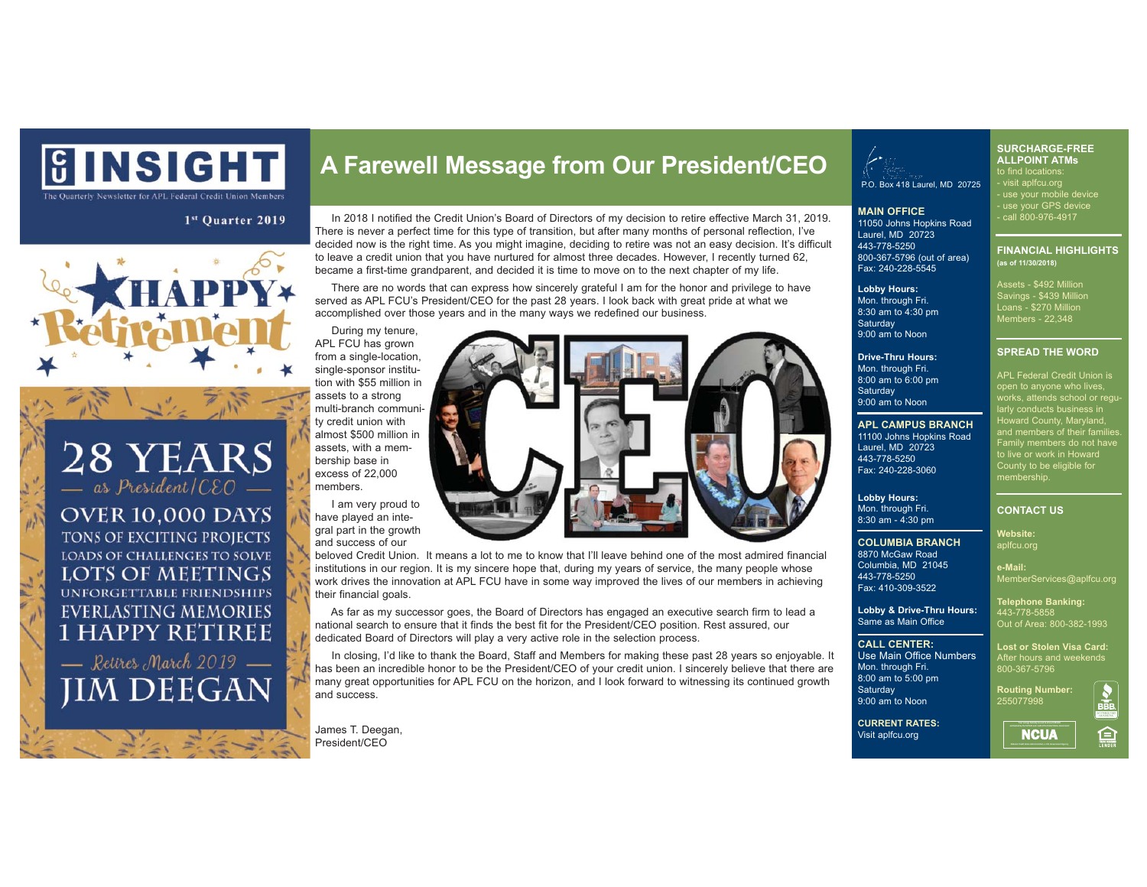

The Quarterly Newsletter for APL Federal Credit Union Memb

### $1<sup>st</sup>$  Ouarter 2019



28 YEARS  $-$  as President/CEO **OVER 10,000 DAYS** TONS OF EXCITING PROJECTS LOADS OF CHALLENGES TO SOLVE LOTS OF MEETINGS **UNFORGETTABLE FRIENDSHIPS EVERLASTING MEMORIES 1 HAPPY RETIREE** 

- Retires March 2019 **JIM DEEGAN** 

**A Farewell Message from Our President/CEO**

 In 2018 I notified the Credit Union's Board of Directors of my decision to retire effective March 31, 2019. There is never a perfect time for this type of transition, but after many months of personal reflection, I've decided now is the right time. As you might imagine, deciding to retire was not an easy decision. It's difficult to leave a credit union that you have nurtured for almost three decades. However, I recently turned 62, became a first-time grandparent, and decided it is time to move on to the next chapter of my life.

 There are no words that can express how sincerely grateful I am for the honor and privilege to have served as APL FCU's President/CEO for the past 28 years. I look back with great pride at what we accomplished over those years and in the many ways we redefined our business.

 During my tenure, APL FCU has grown from a single-location, single-sponsor institution with \$55 million in assets to a strong multi-branch community credit union with almost \$500 million in assets, with a membership base in excess of 22,000 members.

 I am very proud to have played an integral part in the growth and success of our

beloved Credit Union. It means a lot to me to know that I'll leave behind one of the most admired financial institutions in our region. It is my sincere hope that, during my years of service, the many people whose work drives the innovation at APL FCU have in some way improved the lives of our members in achieving their financial goals.

 As far as my successor goes, the Board of Directors has engaged an executive search firm to lead a national search to ensure that it finds the best fit for the President/CEO position. Rest assured, our dedicated Board of Directors will play a very active role in the selection process.

 In closing, I'd like to thank the Board, Staff and Members for making these past 28 years so enjoyable. It has been an incredible honor to be the President/CEO of your credit union. I sincerely believe that there are many great opportunities for APL FCU on the horizon, and I look forward to witnessing its continued growth and success.

James T. Deegan, President/CEO



P.O. Box 418 Laurel, MD 20725

**MAIN OFFICE** 11050 Johns Hopkins Road Laurel, MD 20723 443-778-5250 800-367-5796 (out of area) Fax: 240-228-5545

**Lobby Hours:**  Mon. through Fri. 8:30 am to 4:30 pm **Saturday** 9:00 am to Noon

**Drive-Thru Hours:** Mon. through Fri. 8:00 am to 6:00 pm **Saturday** 9:00 am to Noon

### **APL CAMPUS BRANCH**

11100 Johns Hopkins Road Laurel, MD 20723 443-778-5250 Fax: 240-228-3060

### **Lobby Hours:** Mon. through Fri. 8:30 am - 4:30 pm

Columbia, MD 21045 443-778-5250 Fax: 410-309-3522

**COLUMBIA BRANCH** 8870 McGaw Road

**e-Mail:**  MemberServices@aplfcu.org

**Lost or Stolen Visa Card:** After hours and weekends 800-367-5796

255077998

**Lobby & Drive-Thru Hours:**  Same as Main Office **Telephone Banking:** 443-778-5858 Out of Area: 800-382-1993

### **CALL CENTER:**

Use Main Office Numbers Mon. through Fri. 8:00 am to 5:00 pm **Saturday** 9:00 am to Noon

**Routing Number:**

**CURRENT RATES:** Visit aplfcu.org



**SPREAD THE WORD**  APL Federal Credit Union is works, attends school or regu arly conducts business in Howard County, Maryland, and members of their families. Family members do not have to live or work in Howard County to be eligible for membership.

**SURCHARGE-FREE ALLPOINT ATMs** 

to find locations: - visit aplfcu.org - use your mobile device - use your GPS device . use <del>your GFS devi</del><br><u>. call </u>800-976-4917

**FINANCIAL HIGHLIGHTS** 

Savings - \$439 Million Loans - \$270 Million Members - 22,348

**(as of 11/30/2018)** 

## **CONTACT US**

**Website:**  aplfcu.org